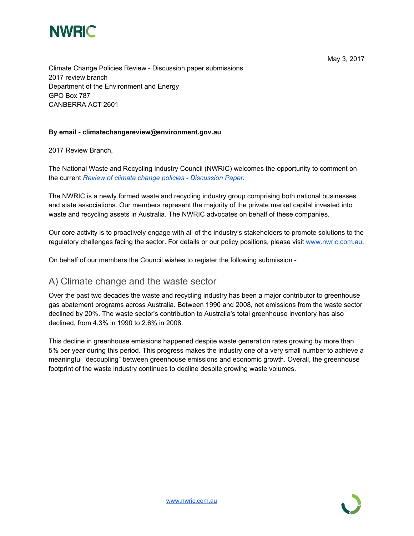

Climate Change Policies Review - Discussion paper submissions 2017 review branch Department of the Environment and Energy GPO Box 787 CANBERRA ACT 2601

#### **By email - climatechangereview@environment.gov.au**

2017 Review Branch,

The National Waste and Recycling Industry Council (NWRIC) welcomes the opportunity to comment on the current *Review of climate change policies - [Discussion](http://www.environment.gov.au/climate-change/review-climate-change-policies/discussion-paper-2017) Paper*.

The NWRIC is a newly formed waste and recycling industry group comprising both national businesses and state associations. Our members represent the majority of the private market capital invested into waste and recycling assets in Australia. The NWRIC advocates on behalf of these companies.

Our core activity is to proactively engage with all of the industry's stakeholders to promote solutions to the regulatory challenges facing the sector. For details or our policy positions, please visit [www.nwric.com.au.](http://www.nwric.com.au/)

On behalf of our members the Council wishes to register the following submission -

### A) Climate change and the waste sector

Over the past two decades the waste and recycling industry has been a major contributor to greenhouse gas abatement programs across Australia. Between 1990 and 2008, net emissions from the waste sector declined by 20%. The waste sector's contribution to Australia's total greenhouse inventory has also declined, from 4.3% in 1990 to 2.6% in 2008.

This decline in greenhouse emissions happened despite waste generation rates growing by more than 5% per year during this period. This progress makes the industry one of a very small number to achieve a meaningful "decoupling" between greenhouse emissions and economic growth. Overall, the greenhouse footprint of the waste industry continues to decline despite growing waste volumes.

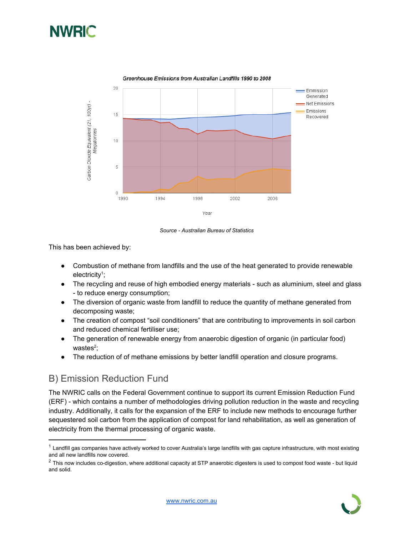



Greenhouse Emissions from Australian Landfills 1990 to 2008



This has been achieved by:

- Combustion of methane from landfills and the use of the heat generated to provide renewable electricity<sup>1</sup>;
- The recycling and reuse of high embodied energy materials such as aluminium, steel and glass - to reduce energy consumption;
- The diversion of organic waste from landfill to reduce the quantity of methane generated from decomposing waste;
- The creation of compost "soil conditioners" that are contributing to improvements in soil carbon and reduced chemical fertiliser use;
- The generation of renewable energy from anaerobic digestion of organic (in particular food) wastes $2$ ;
- The reduction of of methane emissions by better landfill operation and closure programs.

# B) Emission Reduction Fund

The NWRIC calls on the Federal Government continue to support its current Emission Reduction Fund (ERF) - which contains a number of methodologies driving pollution reduction in the waste and recycling industry. Additionally, it calls for the expansion of the ERF to include new methods to encourage further sequestered soil carbon from the application of compost for land rehabilitation, as well as generation of electricity from the thermal processing of organic waste.

 $2$  This now includes co-digestion, where additional capacity at STP anaerobic digesters is used to compost food waste - but liquid and solid.



 $1$  Landfill gas companies have actively worked to cover Australia's large landfills with gas capture infrastructure, with most existing and all new landfills now covered.